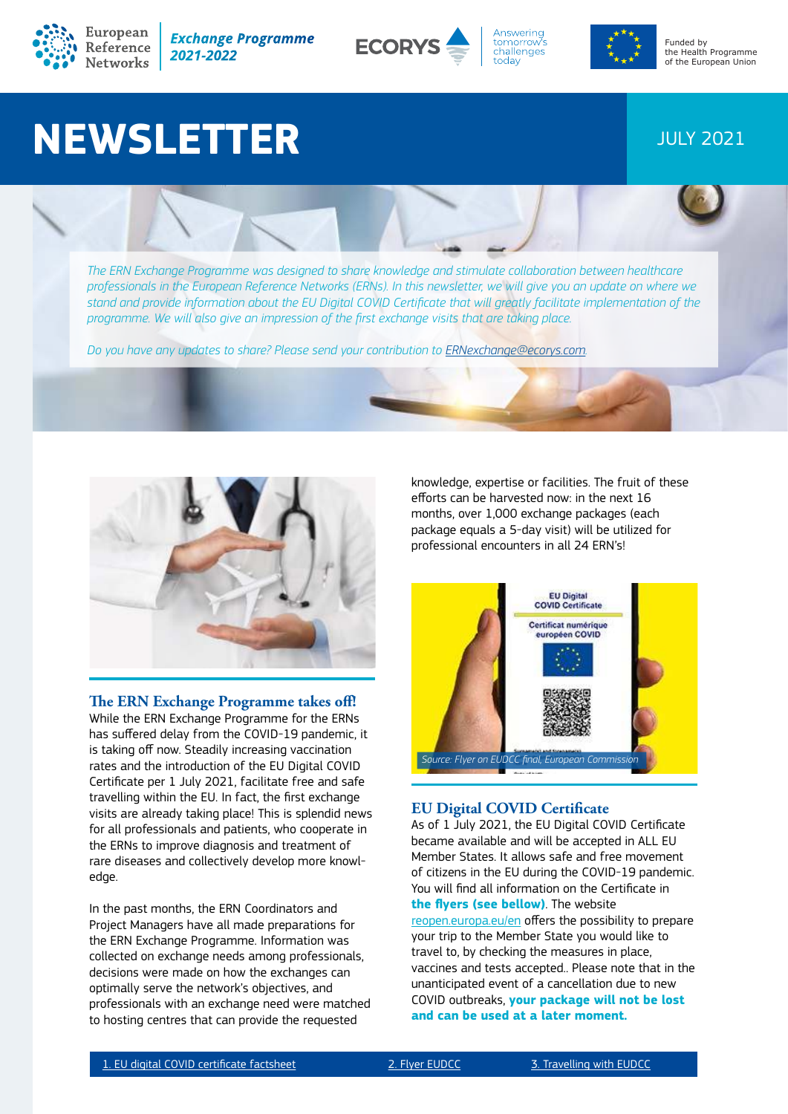

**Exchange Programme** 2021-2022







# **NEWSLETTER Internal and the United States of the United States and Authorize Control and Authorize Authorize Authorize 2021**



*Do you have any updates to share? Please send your contribution to ERNexchange@ecorys.com.*



### **The ERN Exchange Programme takes off!**

While the ERN Exchange Programme for the ERNs has suffered delay from the COVID-19 pandemic, it is taking off now. Steadily increasing vaccination rates and the introduction of the EU Digital COVID Certificate per 1 July 2021, facilitate free and safe travelling within the EU. In fact, the first exchange visits are already taking place! This is splendid news for all professionals and patients, who cooperate in the ERNs to improve diagnosis and treatment of rare diseases and collectively develop more knowledge.

In the past months, the ERN Coordinators and Project Managers have all made preparations for the ERN Exchange Programme. Information was collected on exchange needs among professionals, decisions were made on how the exchanges can optimally serve the network's objectives, and professionals with an exchange need were matched to hosting centres that can provide the requested

knowledge, expertise or facilities. The fruit of these efforts can be harvested now: in the next 16 months, over 1,000 exchange packages (each package equals a 5-day visit) will be utilized for professional encounters in all 24 ERN's!



## **EU Digital COVID Certificate**

As of 1 July 2021, the EU Digital COVID Certificate became available and will be accepted in ALL EU Member States. It allows safe and free movement of citizens in the EU during the COVID-19 pandemic. You will find all information on the Certificate in **the flyers (see bellow)**. The website reopen.europa.eu/en offers the possibility to prepare your trip to the Member State you would like to travel to, by checking the measures in place, vaccines and tests accepted.. Please note that in the unanticipated event of a cancellation due to new COVID outbreaks, **your package will not be lost and can be used at a later moment.**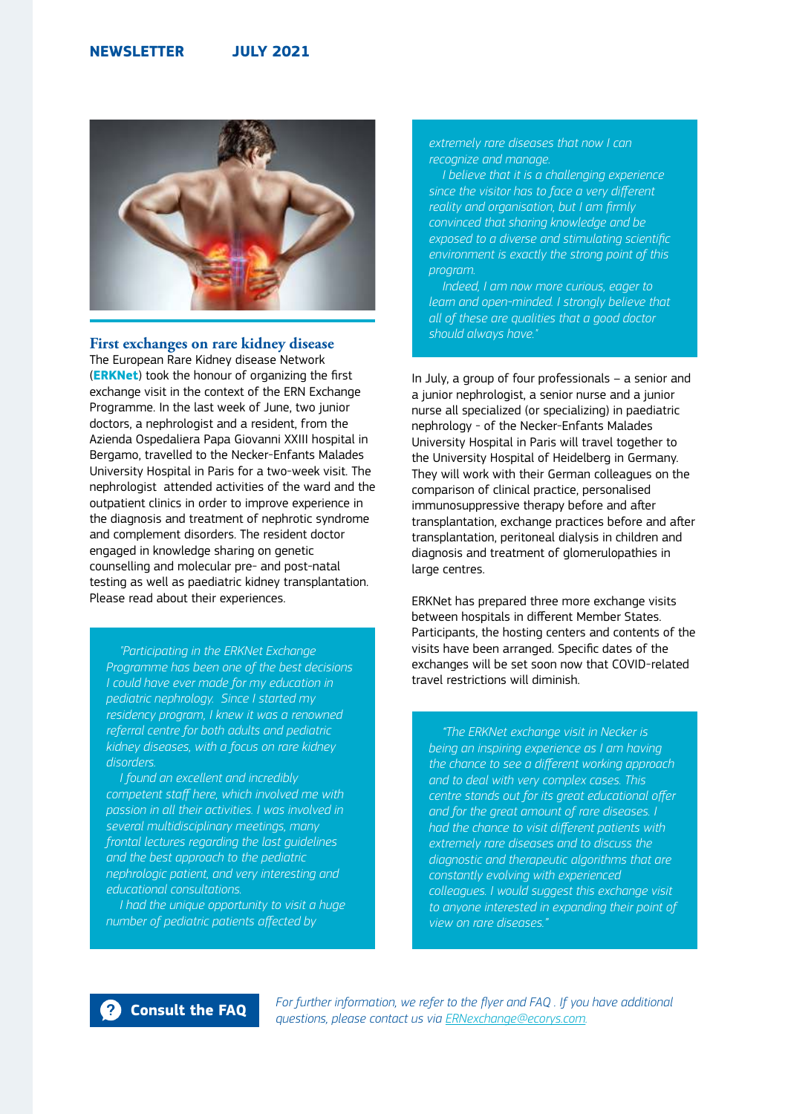

**First exchanges on rare kidney disease** 

The European Rare Kidney disease Network (**ERKNet**) took the honour of organizing the first exchange visit in the context of the ERN Exchange Programme. In the last week of June, two junior doctors, a nephrologist and a resident, from the Azienda Ospedaliera Papa Giovanni XXIII hospital in Bergamo, travelled to the Necker-Enfants Malades University Hospital in Paris for a two-week visit. The nephrologist attended activities of the ward and the outpatient clinics in order to improve experience in the diagnosis and treatment of nephrotic syndrome and complement disorders. The resident doctor engaged in knowledge sharing on genetic counselling and molecular pre- and post-natal testing as well as paediatric kidney transplantation. Please read about their experiences.

*"Participating in the ERKNet Exchange Programme has been one of the best decisions I could have ever made for my education in pediatric nephrology. Since I started my residency program, I knew it was a renowned referral centre for both adults and pediatric kidney diseases, with a focus on rare kidney disorders.* 

*I found an excellent and incredibly competent staff here, which involved me with passion in all their activities. I was involved in several multidisciplinary meetings, many frontal lectures regarding the last guidelines and the best approach to the pediatric nephrologic patient, and very interesting and educational consultations.* 

*I had the unique opportunity to visit a huge number of pediatric patients affected by* 

*extremely rare diseases that now I can recognize and manage.* 

*I believe that it is a challenging experience since the visitor has to face a very different reality and organisation, but I am firmly convinced that sharing knowledge and be exposed to a diverse and stimulating scientific environment is exactly the strong point of this program.* 

*Indeed, I am now more curious, eager to learn and open-minded. I strongly believe that all of these are qualities that a good doctor should always have."*

In July, a group of four professionals – a senior and a junior nephrologist, a senior nurse and a junior nurse all specialized (or specializing) in paediatric nephrology - of the Necker-Enfants Malades University Hospital in Paris will travel together to the University Hospital of Heidelberg in Germany. They will work with their German colleagues on the comparison of clinical practice, personalised immunosuppressive therapy before and after transplantation, exchange practices before and after transplantation, peritoneal dialysis in children and diagnosis and treatment of glomerulopathies in large centres.

ERKNet has prepared three more exchange visits between hospitals in different Member States. Participants, the hosting centers and contents of the visits have been arranged. Specific dates of the exchanges will be set soon now that COVID-related travel restrictions will diminish.

*"The ERKNet exchange visit in Necker is being an inspiring experience as I am having the chance to see a different working approach and to deal with very complex cases. This centre stands out for its great educational offer and for the great amount of rare diseases. I had the chance to visit different patients with extremely rare diseases and to discuss the diagnostic and therapeutic algorithms that are constantly evolving with experienced colleagues. I would suggest this exchange visit to anyone interested in expanding their point of view on rare diseases."*

*For further information, we refer to the flyer and FAQ . If you have additional*  **[Consult the FAQ](https://drive.google.com/file/d/1Bw4-3NGKKS0EdIoGQb6VKtqTtfT-bxhD/view)** *For jurther information, we rejer to the fiyer and FAQ*. If you